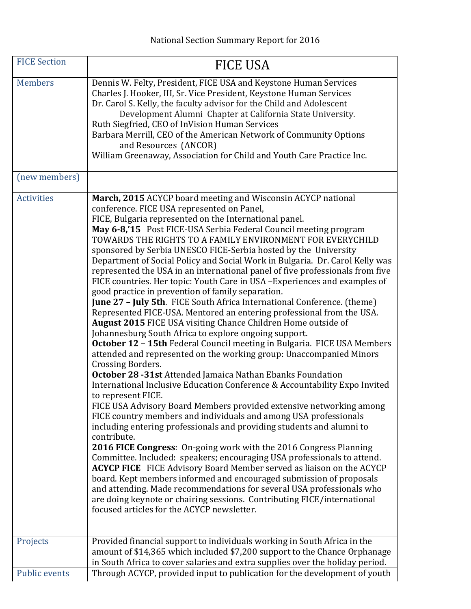| <b>FICE Section</b>              | <b>FICE USA</b>                                                                                                                                                                                                                                                                                                                                                                                                                                                                                                                                                                                                                                                                                                                                                                                                                                                                                                                                                                                                                                                                                                                                                                                                                                                                                                                                                                                                                                                                                                                                                                                                                                                                                                                                                                                                                                                                                                                                                                                                                                |
|----------------------------------|------------------------------------------------------------------------------------------------------------------------------------------------------------------------------------------------------------------------------------------------------------------------------------------------------------------------------------------------------------------------------------------------------------------------------------------------------------------------------------------------------------------------------------------------------------------------------------------------------------------------------------------------------------------------------------------------------------------------------------------------------------------------------------------------------------------------------------------------------------------------------------------------------------------------------------------------------------------------------------------------------------------------------------------------------------------------------------------------------------------------------------------------------------------------------------------------------------------------------------------------------------------------------------------------------------------------------------------------------------------------------------------------------------------------------------------------------------------------------------------------------------------------------------------------------------------------------------------------------------------------------------------------------------------------------------------------------------------------------------------------------------------------------------------------------------------------------------------------------------------------------------------------------------------------------------------------------------------------------------------------------------------------------------------------|
| <b>Members</b>                   | Dennis W. Felty, President, FICE USA and Keystone Human Services<br>Charles J. Hooker, III, Sr. Vice President, Keystone Human Services<br>Dr. Carol S. Kelly, the faculty advisor for the Child and Adolescent<br>Development Alumni Chapter at California State University.<br>Ruth Siegfried, CEO of InVision Human Services<br>Barbara Merrill, CEO of the American Network of Community Options<br>and Resources (ANCOR)<br>William Greenaway, Association for Child and Youth Care Practice Inc.                                                                                                                                                                                                                                                                                                                                                                                                                                                                                                                                                                                                                                                                                                                                                                                                                                                                                                                                                                                                                                                                                                                                                                                                                                                                                                                                                                                                                                                                                                                                         |
| (new members)                    |                                                                                                                                                                                                                                                                                                                                                                                                                                                                                                                                                                                                                                                                                                                                                                                                                                                                                                                                                                                                                                                                                                                                                                                                                                                                                                                                                                                                                                                                                                                                                                                                                                                                                                                                                                                                                                                                                                                                                                                                                                                |
| <b>Activities</b>                | March, 2015 ACYCP board meeting and Wisconsin ACYCP national<br>conference. FICE USA represented on Panel,<br>FICE, Bulgaria represented on the International panel.<br>May 6-8,'15 Post FICE-USA Serbia Federal Council meeting program<br>TOWARDS THE RIGHTS TO A FAMILY ENVIRONMENT FOR EVERYCHILD<br>sponsored by Serbia UNESCO FICE-Serbia hosted by the University<br>Department of Social Policy and Social Work in Bulgaria. Dr. Carol Kelly was<br>represented the USA in an international panel of five professionals from five<br>FICE countries. Her topic: Youth Care in USA - Experiences and examples of<br>good practice in prevention of family separation.<br>June 27 - July 5th. FICE South Africa International Conference. (theme)<br>Represented FICE-USA. Mentored an entering professional from the USA.<br>August 2015 FICE USA visiting Chance Children Home outside of<br>Johannesburg South Africa to explore ongoing support.<br>October 12 - 15th Federal Council meeting in Bulgaria. FICE USA Members<br>attended and represented on the working group: Unaccompanied Minors<br>Crossing Borders.<br>October 28 -31st Attended Jamaica Nathan Ebanks Foundation<br>International Inclusive Education Conference & Accountability Expo Invited<br>to represent FICE.<br>FICE USA Advisory Board Members provided extensive networking among<br>FICE country members and individuals and among USA professionals<br>including entering professionals and providing students and alumni to<br>contribute.<br>2016 FICE Congress: On-going work with the 2016 Congress Planning<br>Committee. Included: speakers; encouraging USA professionals to attend.<br><b>ACYCP FICE</b> FICE Advisory Board Member served as liaison on the ACYCP<br>board. Kept members informed and encouraged submission of proposals<br>and attending. Made recommendations for several USA professionals who<br>are doing keynote or chairing sessions. Contributing FICE/international<br>focused articles for the ACYCP newsletter. |
| Projects<br><b>Public events</b> | Provided financial support to individuals working in South Africa in the<br>amount of \$14,365 which included \$7,200 support to the Chance Orphanage<br>in South Africa to cover salaries and extra supplies over the holiday period.<br>Through ACYCP, provided input to publication for the development of youth                                                                                                                                                                                                                                                                                                                                                                                                                                                                                                                                                                                                                                                                                                                                                                                                                                                                                                                                                                                                                                                                                                                                                                                                                                                                                                                                                                                                                                                                                                                                                                                                                                                                                                                            |
|                                  |                                                                                                                                                                                                                                                                                                                                                                                                                                                                                                                                                                                                                                                                                                                                                                                                                                                                                                                                                                                                                                                                                                                                                                                                                                                                                                                                                                                                                                                                                                                                                                                                                                                                                                                                                                                                                                                                                                                                                                                                                                                |